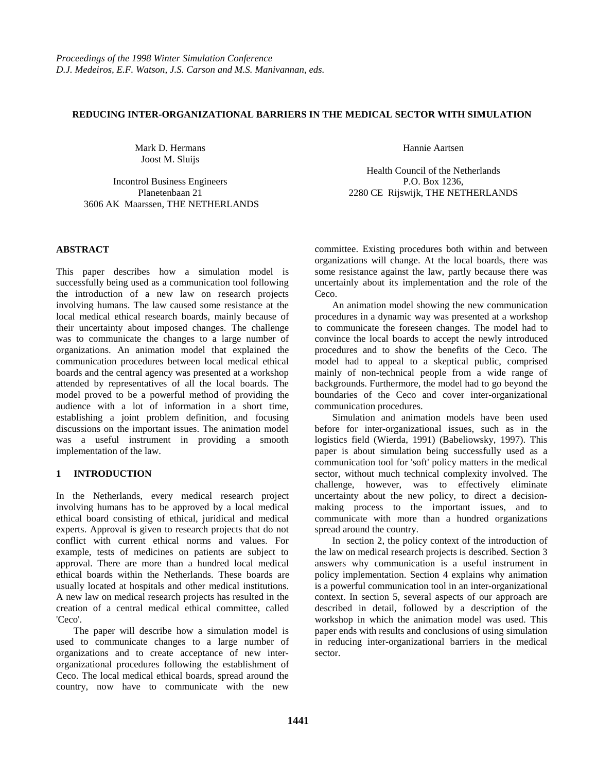#### **REDUCING INTER-ORGANIZATIONAL BARRIERS IN THE MEDICAL SECTOR WITH SIMULATION**

Mark D. Hermans Joost M. Sluijs

Incontrol Business Engineers Planetenbaan 21 3606 AK Maarssen, THE NETHERLANDS

#### **ABSTRACT**

This paper describes how a simulation model is successfully being used as a communication tool following the introduction of a new law on research projects involving humans. The law caused some resistance at the local medical ethical research boards, mainly because of their uncertainty about imposed changes. The challenge was to communicate the changes to a large number of organizations. An animation model that explained the communication procedures between local medical ethical boards and the central agency was presented at a workshop attended by representatives of all the local boards. The model proved to be a powerful method of providing the audience with a lot of information in a short time, establishing a joint problem definition, and focusing discussions on the important issues. The animation model was a useful instrument in providing a smooth implementation of the law.

# **1 INTRODUCTION**

In the Netherlands, every medical research project involving humans has to be approved by a local medical ethical board consisting of ethical, juridical and medical experts. Approval is given to research projects that do not conflict with current ethical norms and values. For example, tests of medicines on patients are subject to approval. There are more than a hundred local medical ethical boards within the Netherlands. These boards are usually located at hospitals and other medical institutions. A new law on medical research projects has resulted in the creation of a central medical ethical committee, called 'Ceco'.

The paper will describe how a simulation model is used to communicate changes to a large number of organizations and to create acceptance of new interorganizational procedures following the establishment of Ceco. The local medical ethical boards, spread around the country, now have to communicate with the new

Hannie Aartsen

Health Council of the Netherlands P.O. Box 1236, 2280 CE Rijswijk, THE NETHERLANDS

committee. Existing procedures both within and between organizations will change. At the local boards, there was some resistance against the law, partly because there was uncertainly about its implementation and the role of the Ceco.

An animation model showing the new communication procedures in a dynamic way was presented at a workshop to communicate the foreseen changes. The model had to convince the local boards to accept the newly introduced procedures and to show the benefits of the Ceco. The model had to appeal to a skeptical public, comprised mainly of non-technical people from a wide range of backgrounds. Furthermore, the model had to go beyond the boundaries of the Ceco and cover inter-organizational communication procedures.

Simulation and animation models have been used before for inter-organizational issues, such as in the logistics field (Wierda, 1991) (Babeliowsky, 1997). This paper is about simulation being successfully used as a communication tool for 'soft' policy matters in the medical sector, without much technical complexity involved. The challenge, however, was to effectively eliminate uncertainty about the new policy, to direct a decisionmaking process to the important issues, and to communicate with more than a hundred organizations spread around the country.

In section 2, the policy context of the introduction of the law on medical research projects is described. Section 3 answers why communication is a useful instrument in policy implementation. Section 4 explains why animation is a powerful communication tool in an inter-organizational context. In section 5, several aspects of our approach are described in detail, followed by a description of the workshop in which the animation model was used. This paper ends with results and conclusions of using simulation in reducing inter-organizational barriers in the medical sector.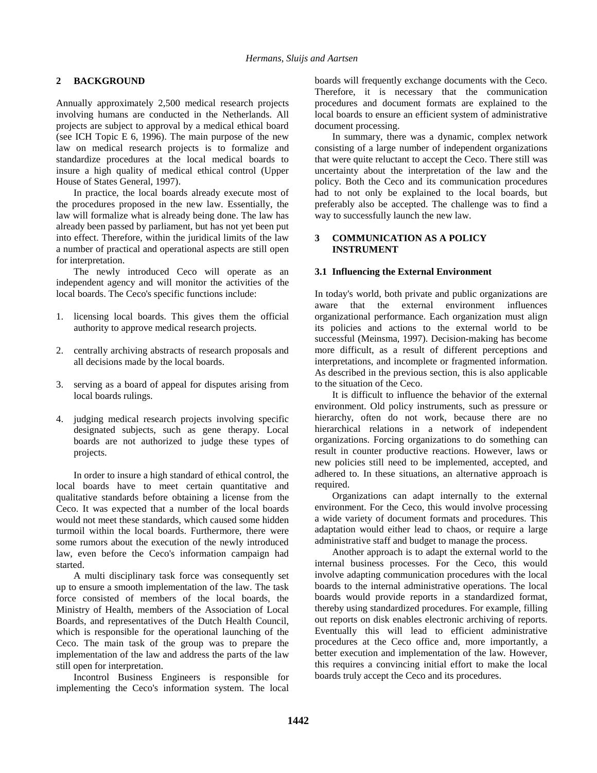# **2 BACKGROUND**

Annually approximately 2,500 medical research projects involving humans are conducted in the Netherlands. All projects are subject to approval by a medical ethical board (see ICH Topic E 6, 1996). The main purpose of the new law on medical research projects is to formalize and standardize procedures at the local medical boards to insure a high quality of medical ethical control (Upper House of States General, 1997).

In practice, the local boards already execute most of the procedures proposed in the new law. Essentially, the law will formalize what is already being done. The law has already been passed by parliament, but has not yet been put into effect. Therefore, within the juridical limits of the law a number of practical and operational aspects are still open for interpretation.

The newly introduced Ceco will operate as an independent agency and will monitor the activities of the local boards. The Ceco's specific functions include:

- 1. licensing local boards. This gives them the official authority to approve medical research projects.
- 2. centrally archiving abstracts of research proposals and all decisions made by the local boards.
- 3. serving as a board of appeal for disputes arising from local boards rulings.
- 4. judging medical research projects involving specific designated subjects, such as gene therapy. Local boards are not authorized to judge these types of projects.

In order to insure a high standard of ethical control, the local boards have to meet certain quantitative and qualitative standards before obtaining a license from the Ceco. It was expected that a number of the local boards would not meet these standards, which caused some hidden turmoil within the local boards. Furthermore, there were some rumors about the execution of the newly introduced law, even before the Ceco's information campaign had started.

A multi disciplinary task force was consequently set up to ensure a smooth implementation of the law. The task force consisted of members of the local boards, the Ministry of Health, members of the Association of Local Boards, and representatives of the Dutch Health Council, which is responsible for the operational launching of the Ceco. The main task of the group was to prepare the implementation of the law and address the parts of the law still open for interpretation.

Incontrol Business Engineers is responsible for implementing the Ceco's information system. The local

boards will frequently exchange documents with the Ceco. Therefore, it is necessary that the communication procedures and document formats are explained to the local boards to ensure an efficient system of administrative document processing.

In summary, there was a dynamic, complex network consisting of a large number of independent organizations that were quite reluctant to accept the Ceco. There still was uncertainty about the interpretation of the law and the policy. Both the Ceco and its communication procedures had to not only be explained to the local boards, but preferably also be accepted. The challenge was to find a way to successfully launch the new law.

#### **3 COMMUNICATION AS A POLICY INSTRUMENT**

#### **3.1 Influencing the External Environment**

In today's world, both private and public organizations are aware that the external environment influences organizational performance. Each organization must align its policies and actions to the external world to be successful (Meinsma, 1997). Decision-making has become more difficult, as a result of different perceptions and interpretations, and incomplete or fragmented information. As described in the previous section, this is also applicable to the situation of the Ceco.

It is difficult to influence the behavior of the external environment. Old policy instruments, such as pressure or hierarchy, often do not work, because there are no hierarchical relations in a network of independent organizations. Forcing organizations to do something can result in counter productive reactions. However, laws or new policies still need to be implemented, accepted, and adhered to. In these situations, an alternative approach is required.

Organizations can adapt internally to the external environment. For the Ceco, this would involve processing a wide variety of document formats and procedures. This adaptation would either lead to chaos, or require a large administrative staff and budget to manage the process.

Another approach is to adapt the external world to the internal business processes. For the Ceco, this would involve adapting communication procedures with the local boards to the internal administrative operations. The local boards would provide reports in a standardized format, thereby using standardized procedures. For example, filling out reports on disk enables electronic archiving of reports. Eventually this will lead to efficient administrative procedures at the Ceco office and, more importantly, a better execution and implementation of the law. However, this requires a convincing initial effort to make the local boards truly accept the Ceco and its procedures.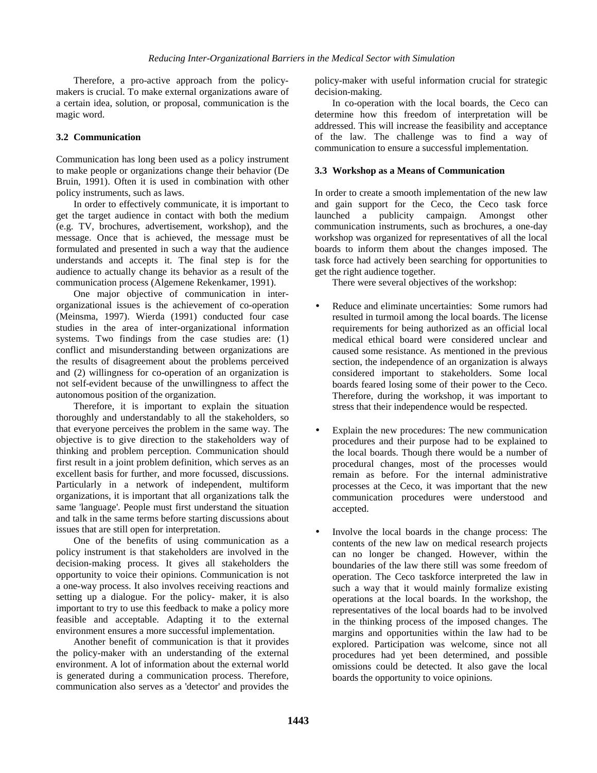Therefore, a pro-active approach from the policymakers is crucial. To make external organizations aware of a certain idea, solution, or proposal, communication is the magic word.

#### **3.2 Communication**

Communication has long been used as a policy instrument to make people or organizations change their behavior (De Bruin, 1991). Often it is used in combination with other policy instruments, such as laws.

In order to effectively communicate, it is important to get the target audience in contact with both the medium (e.g. TV, brochures, advertisement, workshop), and the message. Once that is achieved, the message must be formulated and presented in such a way that the audience understands and accepts it. The final step is for the audience to actually change its behavior as a result of the communication process (Algemene Rekenkamer, 1991).

One major objective of communication in interorganizational issues is the achievement of co-operation (Meinsma, 1997). Wierda (1991) conducted four case studies in the area of inter-organizational information systems. Two findings from the case studies are: (1) conflict and misunderstanding between organizations are the results of disagreement about the problems perceived and (2) willingness for co-operation of an organization is not self-evident because of the unwillingness to affect the autonomous position of the organization.

Therefore, it is important to explain the situation thoroughly and understandably to all the stakeholders, so that everyone perceives the problem in the same way. The objective is to give direction to the stakeholders way of thinking and problem perception. Communication should first result in a joint problem definition, which serves as an excellent basis for further, and more focussed, discussions. Particularly in a network of independent, multiform organizations, it is important that all organizations talk the same 'language'. People must first understand the situation and talk in the same terms before starting discussions about issues that are still open for interpretation.

One of the benefits of using communication as a policy instrument is that stakeholders are involved in the decision-making process. It gives all stakeholders the opportunity to voice their opinions. Communication is not a one-way process. It also involves receiving reactions and setting up a dialogue. For the policy- maker, it is also important to try to use this feedback to make a policy more feasible and acceptable. Adapting it to the external environment ensures a more successful implementation.

Another benefit of communication is that it provides the policy-maker with an understanding of the external environment. A lot of information about the external world is generated during a communication process. Therefore, communication also serves as a 'detector' and provides the policy-maker with useful information crucial for strategic decision-making.

In co-operation with the local boards, the Ceco can determine how this freedom of interpretation will be addressed. This will increase the feasibility and acceptance of the law. The challenge was to find a way of communication to ensure a successful implementation.

#### **3.3 Workshop as a Means of Communication**

In order to create a smooth implementation of the new law and gain support for the Ceco, the Ceco task force launched a publicity campaign. Amongst other communication instruments, such as brochures, a one-day workshop was organized for representatives of all the local boards to inform them about the changes imposed. The task force had actively been searching for opportunities to get the right audience together.

There were several objectives of the workshop:

- Reduce and eliminate uncertainties: Some rumors had resulted in turmoil among the local boards. The license requirements for being authorized as an official local medical ethical board were considered unclear and caused some resistance. As mentioned in the previous section, the independence of an organization is always considered important to stakeholders. Some local boards feared losing some of their power to the Ceco. Therefore, during the workshop, it was important to stress that their independence would be respected.
- Explain the new procedures: The new communication procedures and their purpose had to be explained to the local boards. Though there would be a number of procedural changes, most of the processes would remain as before. For the internal administrative processes at the Ceco, it was important that the new communication procedures were understood and accepted.
- Involve the local boards in the change process: The contents of the new law on medical research projects can no longer be changed. However, within the boundaries of the law there still was some freedom of operation. The Ceco taskforce interpreted the law in such a way that it would mainly formalize existing operations at the local boards. In the workshop, the representatives of the local boards had to be involved in the thinking process of the imposed changes. The margins and opportunities within the law had to be explored. Participation was welcome, since not all procedures had yet been determined, and possible omissions could be detected. It also gave the local boards the opportunity to voice opinions.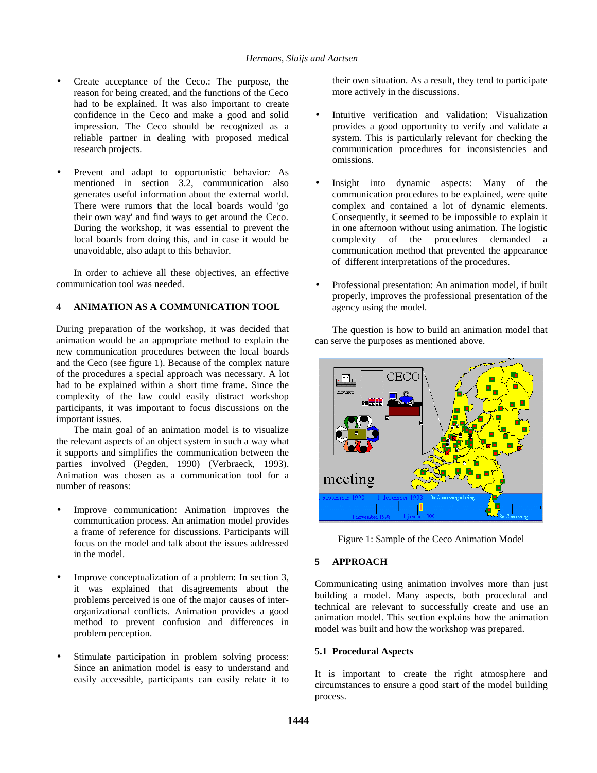- Create acceptance of the Ceco.: The purpose, the reason for being created, and the functions of the Ceco had to be explained. It was also important to create confidence in the Ceco and make a good and solid impression. The Ceco should be recognized as a reliable partner in dealing with proposed medical research projects.
- Prevent and adapt to opportunistic behavior*:* As mentioned in section 3.2, communication also generates useful information about the external world. There were rumors that the local boards would 'go their own way' and find ways to get around the Ceco. During the workshop, it was essential to prevent the local boards from doing this, and in case it would be unavoidable, also adapt to this behavior.

In order to achieve all these objectives, an effective communication tool was needed.

# **4 ANIMATION AS A COMMUNICATION TOOL**

During preparation of the workshop, it was decided that animation would be an appropriate method to explain the new communication procedures between the local boards and the Ceco (see figure 1). Because of the complex nature of the procedures a special approach was necessary. A lot had to be explained within a short time frame. Since the complexity of the law could easily distract workshop participants, it was important to focus discussions on the important issues.

The main goal of an animation model is to visualize the relevant aspects of an object system in such a way what it supports and simplifies the communication between the parties involved (Pegden, 1990) (Verbraeck, 1993). Animation was chosen as a communication tool for a number of reasons:

- Improve communication: Animation improves the communication process. An animation model provides a frame of reference for discussions. Participants will focus on the model and talk about the issues addressed in the model.
- Improve conceptualization of a problem: In section 3, it was explained that disagreements about the problems perceived is one of the major causes of interorganizational conflicts. Animation provides a good method to prevent confusion and differences in problem perception.
- Stimulate participation in problem solving process: Since an animation model is easy to understand and easily accessible, participants can easily relate it to

their own situation. As a result, they tend to participate more actively in the discussions.

- Intuitive verification and validation: Visualization provides a good opportunity to verify and validate a system. This is particularly relevant for checking the communication procedures for inconsistencies and omissions.
- Insight into dynamic aspects: Many of the communication procedures to be explained, were quite complex and contained a lot of dynamic elements. Consequently, it seemed to be impossible to explain it in one afternoon without using animation. The logistic complexity of the procedures demanded a communication method that prevented the appearance of different interpretations of the procedures.
- Professional presentation: An animation model, if built properly, improves the professional presentation of the agency using the model.

The question is how to build an animation model that can serve the purposes as mentioned above.



Figure 1: Sample of the Ceco Animation Model

# **5 APPROACH**

Communicating using animation involves more than just building a model. Many aspects, both procedural and technical are relevant to successfully create and use an animation model. This section explains how the animation model was built and how the workshop was prepared.

# **5.1 Procedural Aspects**

It is important to create the right atmosphere and circumstances to ensure a good start of the model building process.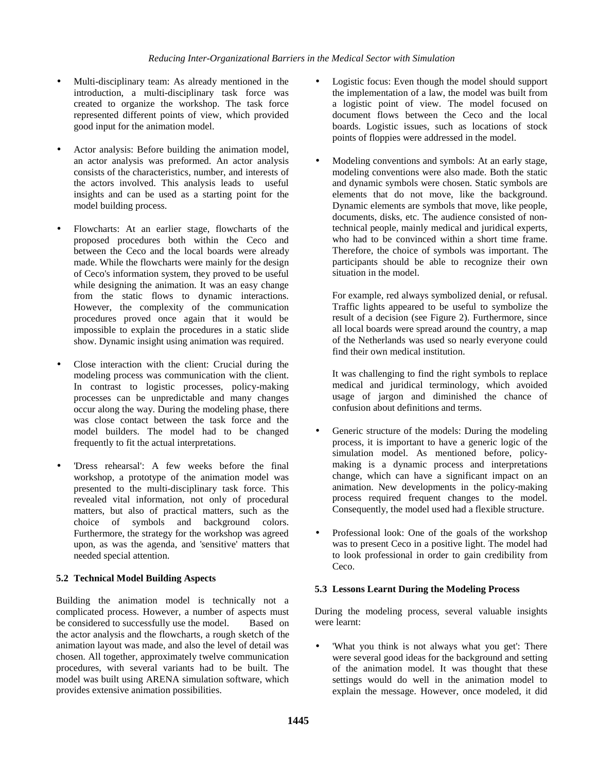- Multi-disciplinary team: As already mentioned in the introduction, a multi-disciplinary task force was created to organize the workshop. The task force represented different points of view, which provided good input for the animation model.
- Actor analysis: Before building the animation model, an actor analysis was preformed. An actor analysis consists of the characteristics, number, and interests of the actors involved. This analysis leads to useful insights and can be used as a starting point for the model building process.
- Flowcharts: At an earlier stage, flowcharts of the proposed procedures both within the Ceco and between the Ceco and the local boards were already made. While the flowcharts were mainly for the design of Ceco's information system, they proved to be useful while designing the animation. It was an easy change from the static flows to dynamic interactions. However, the complexity of the communication procedures proved once again that it would be impossible to explain the procedures in a static slide show. Dynamic insight using animation was required.
- Close interaction with the client: Crucial during the modeling process was communication with the client. In contrast to logistic processes, policy-making processes can be unpredictable and many changes occur along the way. During the modeling phase, there was close contact between the task force and the model builders. The model had to be changed frequently to fit the actual interpretations.
- 'Dress rehearsal': A few weeks before the final workshop, a prototype of the animation model was presented to the multi-disciplinary task force. This revealed vital information, not only of procedural matters, but also of practical matters, such as the choice of symbols and background colors. Furthermore, the strategy for the workshop was agreed upon, as was the agenda, and 'sensitive' matters that needed special attention.

# **5.2 Technical Model Building Aspects**

Building the animation model is technically not a complicated process. However, a number of aspects must be considered to successfully use the model. Based on the actor analysis and the flowcharts, a rough sketch of the animation layout was made, and also the level of detail was chosen. All together, approximately twelve communication procedures, with several variants had to be built. The model was built using ARENA simulation software, which provides extensive animation possibilities.

- Logistic focus: Even though the model should support the implementation of a law, the model was built from a logistic point of view. The model focused on document flows between the Ceco and the local boards. Logistic issues, such as locations of stock points of floppies were addressed in the model.
- Modeling conventions and symbols: At an early stage, modeling conventions were also made. Both the static and dynamic symbols were chosen. Static symbols are elements that do not move, like the background. Dynamic elements are symbols that move, like people, documents, disks, etc. The audience consisted of nontechnical people, mainly medical and juridical experts, who had to be convinced within a short time frame. Therefore, the choice of symbols was important. The participants should be able to recognize their own situation in the model.

For example, red always symbolized denial, or refusal. Traffic lights appeared to be useful to symbolize the result of a decision (see Figure 2). Furthermore, since all local boards were spread around the country, a map of the Netherlands was used so nearly everyone could find their own medical institution.

It was challenging to find the right symbols to replace medical and juridical terminology, which avoided usage of jargon and diminished the chance of confusion about definitions and terms.

- Generic structure of the models: During the modeling process, it is important to have a generic logic of the simulation model. As mentioned before, policymaking is a dynamic process and interpretations change, which can have a significant impact on an animation. New developments in the policy-making process required frequent changes to the model. Consequently, the model used had a flexible structure.
- Professional look: One of the goals of the workshop was to present Ceco in a positive light. The model had to look professional in order to gain credibility from Ceco.

# **5.3 Lessons Learnt During the Modeling Process**

During the modeling process, several valuable insights were learnt:

'What you think is not always what you get': There were several good ideas for the background and setting of the animation model. It was thought that these settings would do well in the animation model to explain the message. However, once modeled, it did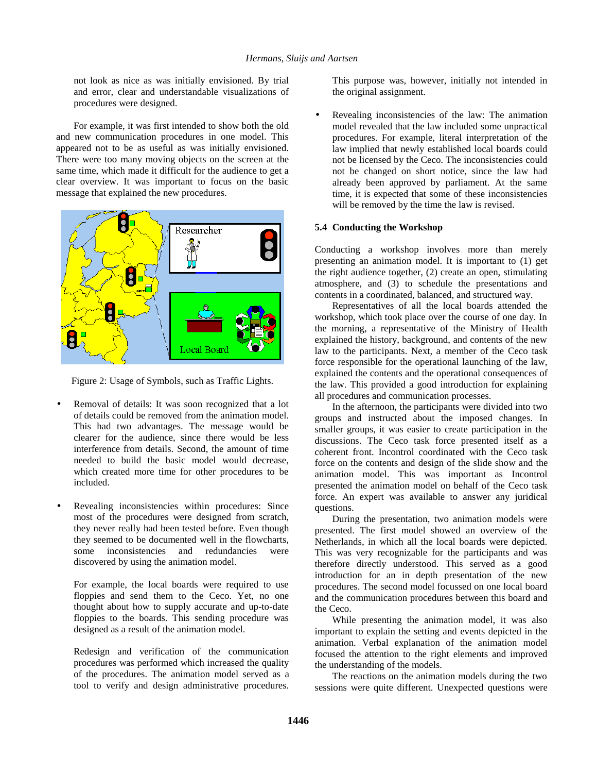not look as nice as was initially envisioned. By trial and error, clear and understandable visualizations of procedures were designed.

For example, it was first intended to show both the old and new communication procedures in one model. This appeared not to be as useful as was initially envisioned. There were too many moving objects on the screen at the same time, which made it difficult for the audience to get a clear overview. It was important to focus on the basic message that explained the new procedures.



Figure 2: Usage of Symbols, such as Traffic Lights.

- Removal of details: It was soon recognized that a lot of details could be removed from the animation model. This had two advantages. The message would be clearer for the audience, since there would be less interference from details. Second, the amount of time needed to build the basic model would decrease, which created more time for other procedures to be included.
- Revealing inconsistencies within procedures: Since most of the procedures were designed from scratch, they never really had been tested before. Even though they seemed to be documented well in the flowcharts, some inconsistencies and redundancies were discovered by using the animation model.

For example, the local boards were required to use floppies and send them to the Ceco. Yet, no one thought about how to supply accurate and up-to-date floppies to the boards. This sending procedure was designed as a result of the animation model.

Redesign and verification of the communication procedures was performed which increased the quality of the procedures. The animation model served as a tool to verify and design administrative procedures.

This purpose was, however, initially not intended in the original assignment.

• Revealing inconsistencies of the law: The animation model revealed that the law included some unpractical procedures. For example, literal interpretation of the law implied that newly established local boards could not be licensed by the Ceco. The inconsistencies could not be changed on short notice, since the law had already been approved by parliament. At the same time, it is expected that some of these inconsistencies will be removed by the time the law is revised.

#### **5.4 Conducting the Workshop**

Conducting a workshop involves more than merely presenting an animation model. It is important to (1) get the right audience together, (2) create an open, stimulating atmosphere, and (3) to schedule the presentations and contents in a coordinated, balanced, and structured way.

Representatives of all the local boards attended the workshop, which took place over the course of one day. In the morning, a representative of the Ministry of Health explained the history, background, and contents of the new law to the participants. Next, a member of the Ceco task force responsible for the operational launching of the law, explained the contents and the operational consequences of the law. This provided a good introduction for explaining all procedures and communication processes.

In the afternoon, the participants were divided into two groups and instructed about the imposed changes. In smaller groups, it was easier to create participation in the discussions. The Ceco task force presented itself as a coherent front. Incontrol coordinated with the Ceco task force on the contents and design of the slide show and the animation model. This was important as Incontrol presented the animation model on behalf of the Ceco task force. An expert was available to answer any juridical questions.

During the presentation, two animation models were presented. The first model showed an overview of the Netherlands, in which all the local boards were depicted. This was very recognizable for the participants and was therefore directly understood. This served as a good introduction for an in depth presentation of the new procedures. The second model focussed on one local board and the communication procedures between this board and the Ceco.

While presenting the animation model, it was also important to explain the setting and events depicted in the animation. Verbal explanation of the animation model focused the attention to the right elements and improved the understanding of the models.

The reactions on the animation models during the two sessions were quite different. Unexpected questions were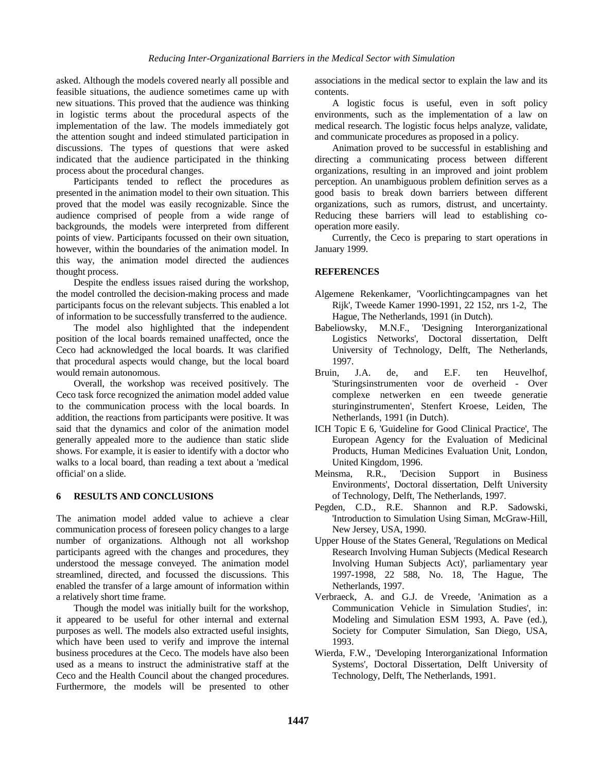asked. Although the models covered nearly all possible and feasible situations, the audience sometimes came up with new situations. This proved that the audience was thinking in logistic terms about the procedural aspects of the implementation of the law. The models immediately got the attention sought and indeed stimulated participation in discussions. The types of questions that were asked indicated that the audience participated in the thinking process about the procedural changes.

Participants tended to reflect the procedures as presented in the animation model to their own situation. This proved that the model was easily recognizable. Since the audience comprised of people from a wide range of backgrounds, the models were interpreted from different points of view. Participants focussed on their own situation, however, within the boundaries of the animation model. In this way, the animation model directed the audiences thought process.

Despite the endless issues raised during the workshop, the model controlled the decision-making process and made participants focus on the relevant subjects. This enabled a lot of information to be successfully transferred to the audience.

The model also highlighted that the independent position of the local boards remained unaffected, once the Ceco had acknowledged the local boards. It was clarified that procedural aspects would change, but the local board would remain autonomous.

Overall, the workshop was received positively. The Ceco task force recognized the animation model added value to the communication process with the local boards. In addition, the reactions from participants were positive. It was said that the dynamics and color of the animation model generally appealed more to the audience than static slide shows. For example, it is easier to identify with a doctor who walks to a local board, than reading a text about a 'medical official' on a slide.

# **6 RESULTS AND CONCLUSIONS**

The animation model added value to achieve a clear communication process of foreseen policy changes to a large number of organizations. Although not all workshop participants agreed with the changes and procedures, they understood the message conveyed. The animation model streamlined, directed, and focussed the discussions. This enabled the transfer of a large amount of information within a relatively short time frame.

Though the model was initially built for the workshop, it appeared to be useful for other internal and external purposes as well. The models also extracted useful insights, which have been used to verify and improve the internal business procedures at the Ceco. The models have also been used as a means to instruct the administrative staff at the Ceco and the Health Council about the changed procedures. Furthermore, the models will be presented to other

associations in the medical sector to explain the law and its contents.

A logistic focus is useful, even in soft policy environments, such as the implementation of a law on medical research. The logistic focus helps analyze, validate, and communicate procedures as proposed in a policy.

Animation proved to be successful in establishing and directing a communicating process between different organizations, resulting in an improved and joint problem perception. An unambiguous problem definition serves as a good basis to break down barriers between different organizations, such as rumors, distrust, and uncertainty. Reducing these barriers will lead to establishing cooperation more easily.

Currently, the Ceco is preparing to start operations in January 1999.

# **REFERENCES**

- Algemene Rekenkamer, 'Voorlichtingcampagnes van het Rijk', Tweede Kamer 1990-1991, 22 152, nrs 1-2, The Hague, The Netherlands, 1991 (in Dutch).
- Babeliowsky, M.N.F., 'Designing Interorganizational Logistics Networks', Doctoral dissertation, Delft University of Technology, Delft, The Netherlands, 1997.
- Bruin, J.A. de, and E.F. ten Heuvelhof, 'Sturingsinstrumenten voor de overheid - Over complexe netwerken en een tweede generatie sturinginstrumenten', Stenfert Kroese, Leiden, The Netherlands, 1991 (in Dutch).
- ICH Topic E 6, 'Guideline for Good Clinical Practice', The European Agency for the Evaluation of Medicinal Products, Human Medicines Evaluation Unit, London, United Kingdom, 1996.
- Meinsma, R.R., 'Decision Support in Business Environments', Doctoral dissertation, Delft University of Technology, Delft, The Netherlands, 1997.
- Pegden, C.D., R.E. Shannon and R.P. Sadowski, 'Introduction to Simulation Using Siman, McGraw-Hill, New Jersey, USA, 1990.
- Upper House of the States General, 'Regulations on Medical Research Involving Human Subjects (Medical Research Involving Human Subjects Act)', parliamentary year 1997-1998, 22 588, No. 18, The Hague, The Netherlands, 1997.
- Verbraeck, A. and G.J. de Vreede, 'Animation as a Communication Vehicle in Simulation Studies', in: Modeling and Simulation ESM 1993, A. Pave (ed.), Society for Computer Simulation, San Diego, USA, 1993.
- Wierda, F.W., 'Developing Interorganizational Information Systems', Doctoral Dissertation, Delft University of Technology, Delft, The Netherlands, 1991.